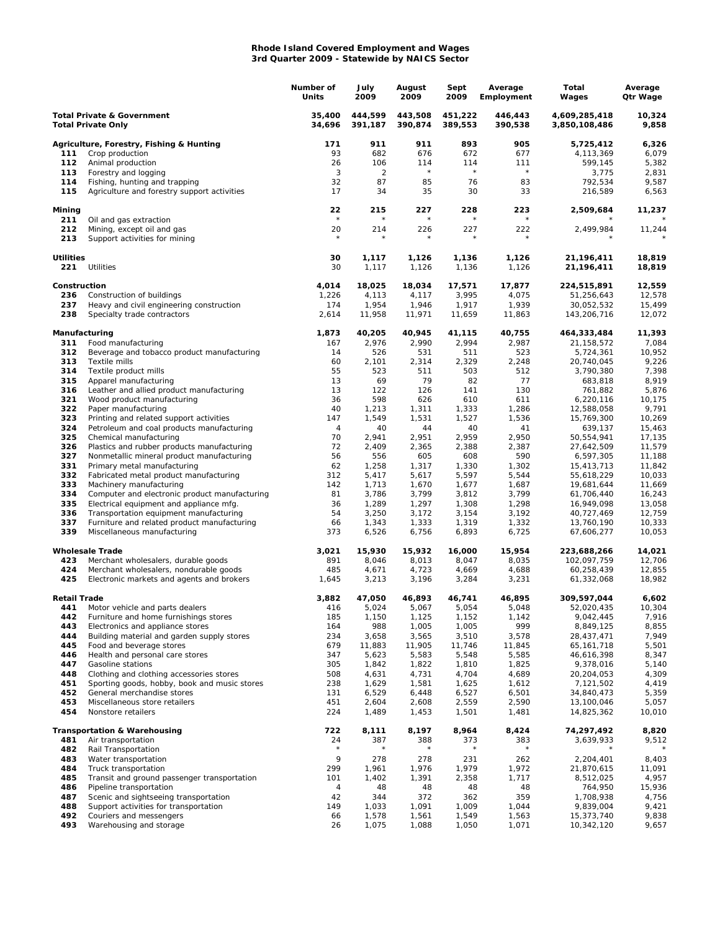## **Rhode Island Covered Employment and Wages 3rd Quarter 2009 - Statewide by NAICS Sector**

|                                                                    |                                                                                       | Number of<br>Units | July<br>2009       | August<br>2009     | Sept<br>2009       | Average<br>Employment | Total<br>Wages                 | Average<br>Qtr Wage |
|--------------------------------------------------------------------|---------------------------------------------------------------------------------------|--------------------|--------------------|--------------------|--------------------|-----------------------|--------------------------------|---------------------|
| <b>Total Private &amp; Government</b><br><b>Total Private Only</b> |                                                                                       | 35,400<br>34,696   | 444.599<br>391,187 | 443.508<br>390,874 | 451,222<br>389,553 | 446,443<br>390,538    | 4,609,285,418<br>3,850,108,486 | 10,324<br>9,858     |
|                                                                    | Agriculture, Forestry, Fishing & Hunting                                              | 171                | 911                | 911                | 893                | 905                   | 5,725,412                      | 6,326               |
| 111                                                                | Crop production                                                                       | 93                 | 682                | 676                | 672                | 677                   | 4,113,369                      | 6,079               |
| 112                                                                | Animal production                                                                     | 26                 | 106                | 114                | 114                | 111                   | 599,145                        | 5,382               |
| 113                                                                | Forestry and logging                                                                  | 3<br>32            | 2                  | $\star$            | $\star$            | $\star$<br>83         | 3,775<br>792,534               | 2,831               |
| 114<br>115                                                         | Fishing, hunting and trapping<br>Agriculture and forestry support activities          | 17                 | 87<br>34           | 85<br>35           | 76<br>30           | 33                    | 216,589                        | 9,587<br>6,563      |
| Mining                                                             |                                                                                       | 22                 | 215                | 227                | 228                | 223                   | 2,509,684                      | 11,237              |
| 211<br>212                                                         | Oil and gas extraction<br>Mining, except oil and gas                                  | $\star$<br>20      | 214                | 226                | 227                | 222                   | 2,499,984                      | 11,244              |
| 213                                                                | Support activities for mining                                                         |                    |                    |                    |                    |                       |                                |                     |
| <b>Utilities</b><br>221                                            | Utilities                                                                             | 30<br>30           | 1,117<br>1,117     | 1,126<br>1,126     | 1,136<br>1,136     | 1,126<br>1,126        | 21,196,411<br>21,196,411       | 18,819<br>18,819    |
| Construction                                                       |                                                                                       | 4,014              | 18,025             | 18,034             | 17,571             | 17,877                | 224,515,891                    | 12,559              |
| 236                                                                | Construction of buildings                                                             | 1,226              | 4,113              | 4,117              | 3,995              | 4,075                 | 51,256,643                     | 12,578              |
| 237<br>238                                                         | Heavy and civil engineering construction<br>Specialty trade contractors               | 174<br>2,614       | 1,954<br>11,958    | 1,946<br>11,971    | 1,917<br>11,659    | 1,939<br>11,863       | 30,052,532<br>143,206,716      | 15,499<br>12,072    |
| Manufacturing                                                      |                                                                                       | 1,873              | 40,205             | 40,945             | 41,115             | 40,755                | 464,333,484                    | 11,393              |
| 311                                                                | Food manufacturing                                                                    | 167                | 2,976              | 2,990              | 2,994              | 2,987                 | 21,158,572                     | 7,084               |
| 312                                                                | Beverage and tobacco product manufacturing                                            | 14                 | 526                | 531                | 511                | 523                   | 5,724,361                      | 10,952              |
| 313                                                                | Textile mills                                                                         | 60                 | 2,101              | 2,314              | 2,329              | 2,248                 | 20,740,045                     | 9,226               |
| 314<br>315                                                         | Textile product mills<br>Apparel manufacturing                                        | 55<br>13           | 523<br>69          | 511<br>79          | 503<br>82          | 512<br>77             | 3,790,380<br>683,818           | 7,398<br>8,919      |
| 316                                                                | Leather and allied product manufacturing                                              | 13                 | 122                | 126                | 141                | 130                   | 761,882                        | 5,876               |
| 321                                                                | Wood product manufacturing                                                            | 36                 | 598                | 626                | 610                | 611                   | 6,220,116                      | 10,175              |
| 322                                                                | Paper manufacturing                                                                   | 40                 | 1,213              | 1,311              | 1,333              | 1,286                 | 12,588,058                     | 9,791               |
| 323                                                                | Printing and related support activities                                               | 147                | 1,549              | 1,531              | 1,527              | 1,536                 | 15,769,300                     | 10,269              |
| 324                                                                | Petroleum and coal products manufacturing                                             | 4                  | 40                 | 44                 | 40                 | 41                    | 639,137                        | 15,463              |
| 325<br>326                                                         | Chemical manufacturing<br>Plastics and rubber products manufacturing                  | 70<br>72           | 2,941<br>2,409     | 2,951<br>2,365     | 2,959<br>2,388     | 2,950<br>2,387        | 50,554,941<br>27,642,509       | 17,135<br>11,579    |
| 327                                                                | Nonmetallic mineral product manufacturing                                             | 56                 | 556                | 605                | 608                | 590                   | 6,597,305                      | 11,188              |
| 331                                                                | Primary metal manufacturing                                                           | 62                 | 1,258              | 1,317              | 1,330              | 1,302                 | 15,413,713                     | 11,842              |
| 332                                                                | Fabricated metal product manufacturing                                                | 312                | 5,417              | 5,617              | 5,597              | 5,544                 | 55,618,229                     | 10,033              |
| 333                                                                | Machinery manufacturing                                                               | 142                | 1,713              | 1,670              | 1,677              | 1,687                 | 19,681,644                     | 11,669              |
| 334                                                                | Computer and electronic product manufacturing                                         | 81                 | 3,786              | 3,799              | 3,812              | 3,799                 | 61,706,440                     | 16,243              |
| 335                                                                | Electrical equipment and appliance mfg.                                               | 36                 | 1,289              | 1,297              | 1,308              | 1,298                 | 16,949,098                     | 13,058              |
| 336<br>337                                                         | Transportation equipment manufacturing<br>Furniture and related product manufacturing | 54<br>66           | 3,250<br>1,343     | 3,172<br>1,333     | 3,154<br>1,319     | 3,192<br>1,332        | 40,727,469<br>13,760,190       | 12,759<br>10,333    |
| 339                                                                | Miscellaneous manufacturing                                                           | 373                | 6,526              | 6,756              | 6,893              | 6,725                 | 67,606,277                     | 10,053              |
|                                                                    | <b>Wholesale Trade</b>                                                                | 3,021              | 15,930             | 15,932             | 16,000             | 15,954                | 223,688,266                    | 14,021              |
| 423                                                                | Merchant wholesalers, durable goods                                                   | 891                | 8,046              | 8,013              | 8,047              | 8,035                 | 102,097,759                    | 12,706              |
| 424<br>425                                                         | Merchant wholesalers, nondurable goods<br>Electronic markets and agents and brokers   | 485<br>1,645       | 4,671<br>3,213     | 4,723<br>3,196     | 4,669<br>3,284     | 4,688<br>3,231        | 60,258,439<br>61,332,068       | 12,855<br>18,982    |
| <b>Retail Trade</b>                                                |                                                                                       | 3,882              | 47,050             | 46,893             | 46,741             | 46,895                | 309,597,044                    | 6,602               |
| 441                                                                | Motor vehicle and parts dealers                                                       | 416                | 5,024              | 5,067              | 5,054              | 5,048                 | 52,020,435                     | 10,304              |
| 442                                                                | Furniture and home furnishings stores                                                 | 185                | 1,150              | 1,125              | 1,152              | 1,142                 | 9,042,445                      | 7,916               |
| 443                                                                | Electronics and appliance stores                                                      | 164                | 988                | 1,005              | 1,005              | 999                   | 8,849,125                      | 8,855               |
| 444                                                                | Building material and garden supply stores                                            | 234                | 3,658              | 3,565              | 3,510              | 3,578                 | 28,437,471                     | 7,949               |
| 445<br>446                                                         | Food and beverage stores<br>Health and personal care stores                           | 679<br>347         | 11,883<br>5,623    | 11,905<br>5,583    | 11,746<br>5,548    | 11,845<br>5,585       | 65, 161, 718<br>46,616,398     | 5,501<br>8,347      |
| 447                                                                | Gasoline stations                                                                     | 305                | 1,842              | 1,822              | 1,810              | 1,825                 | 9,378,016                      | 5,140               |
| 448                                                                | Clothing and clothing accessories stores                                              | 508                | 4,631              | 4,731              | 4,704              | 4,689                 | 20, 204, 053                   | 4,309               |
| 451                                                                | Sporting goods, hobby, book and music stores                                          | 238                | 1,629              | 1,581              | 1,625              | 1,612                 | 7,121,502                      | 4,419               |
| 452                                                                | General merchandise stores                                                            | 131                | 6,529              | 6,448              | 6,527              | 6,501                 | 34,840,473                     | 5,359               |
| 453<br>454                                                         | Miscellaneous store retailers<br>Nonstore retailers                                   | 451<br>224         | 2,604<br>1,489     | 2,608<br>1,453     | 2,559<br>1,501     | 2,590<br>1,481        | 13,100,046<br>14,825,362       | 5,057<br>10,010     |
|                                                                    | <b>Transportation &amp; Warehousing</b>                                               | 722                | 8,111              | 8,197              | 8,964              | 8,424                 | 74,297,492                     | 8,820               |
| 481                                                                | Air transportation                                                                    | 24                 | 387                | 388                | 373                | 383                   | 3,639,933                      | 9,512               |
| 482                                                                | Rail Transportation                                                                   | $^{\star}$         | $^{\star}$         | $^\star$           | $\star$            | $^{\star}$            |                                |                     |
| 483                                                                | Water transportation                                                                  | 9                  | 278                | 278                | 231                | 262                   | 2,204,401                      | 8,403               |
| 484                                                                | Truck transportation                                                                  | 299                | 1,961              | 1,976              | 1,979              | 1,972                 | 21,870,615                     | 11,091              |
| 485                                                                | Transit and ground passenger transportation                                           | 101                | 1,402              | 1,391              | 2,358              | 1,717                 | 8,512,025                      | 4,957               |
| 486<br>487                                                         | Pipeline transportation<br>Scenic and sightseeing transportation                      | 4<br>42            | 48<br>344          | 48<br>372          | 48<br>362          | 48<br>359             | 764,950<br>1,708,938           | 15,936<br>4,756     |
| 488                                                                | Support activities for transportation                                                 | 149                | 1,033              | 1,091              | 1,009              | 1,044                 | 9,839,004                      | 9,421               |
| 492                                                                | Couriers and messengers                                                               | 66                 | 1,578              | 1,561              | 1,549              | 1,563                 | 15,373,740                     | 9,838               |
| 493                                                                | Warehousing and storage                                                               | 26                 | 1,075              | 1,088              | 1,050              | 1,071                 | 10,342,120                     | 9,657               |